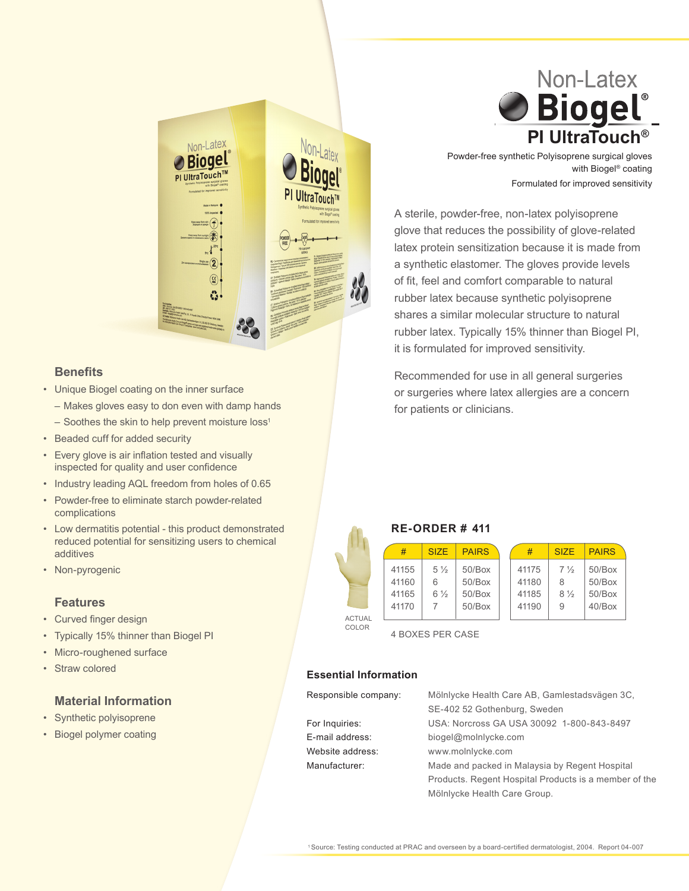

### **Benefits**

- • Unique Biogel coating on the inner surface
- Makes gloves easy to don even with damp hands
	- $-$  Soothes the skin to help prevent moisture loss<sup>1</sup>
- • Beaded cuff for added security
- Every glove is air inflation tested and visually inspected for quality and user confidence
- Industry leading AQL freedom from holes of 0.65
- • Powder-free to eliminate starch powder-related complications
- • Low dermatitis potential this product demonstrated reduced potential for sensitizing users to chemical additives
- Non-pyrogenic

#### **Features**

- • Curved finger design
- • Typically 15% thinner than Biogel PI
- Micro-roughened surface
- Straw colored

# **Material Information**

- • Synthetic polyisoprene
- • Biogel polymer coating



 Powder-free synthetic Polyisoprene surgical gloves Formulated for improved sensitivity with Biogel® coating

 A sterile, powder-free, non-latex polyisoprene glove that reduces the possibility of glove-related latex protein sensitization because it is made from a synthetic elastomer. The gloves provide levels of fit, feel and comfort comparable to natural rubber latex because synthetic polyisoprene shares a similar molecular structure to natural rubber latex. Typically 15% thinner than Biogel PI, it is formulated for improved sensitivity.

 Recommended for use in all general surgeries or surgeries where latex allergies are a concern for patients or clinicians.

## **RE-ORDER # 411**

|                        | #                                | SI <sub>7</sub> F                     | <b>PAIRS</b>                                  | #                                | <b>SIZE</b>                                | <b>PAIRS</b>                            |
|------------------------|----------------------------------|---------------------------------------|-----------------------------------------------|----------------------------------|--------------------------------------------|-----------------------------------------|
|                        | 41155<br>41160<br>41165<br>41170 | $5\frac{1}{2}$<br>6<br>$6\frac{1}{2}$ | $50$ /Box<br>$50$ /Box<br>$50$ /Box<br>50/Box | 41175<br>41180<br>41185<br>41190 | $7\frac{1}{2}$<br>8<br>$8\frac{1}{2}$<br>9 | 50/Box<br>50/Box<br>50/Box<br>$40$ /Box |
| <b>ACTUAL</b><br>COLOR |                                  |                                       |                                               |                                  |                                            |                                         |

 4 BOXES PER CASE

 Mölnlycke Health Care Group.

#### **Essential Information**

| Responsible company: | Mölnlycke Health Care AB, Gamlestadsvägen 3C,         |
|----------------------|-------------------------------------------------------|
|                      | SE-402 52 Gothenburg, Sweden                          |
| For Inquiries:       | USA: Norcross GA USA 30092 1-800-843-8497             |
| E-mail address:      | biogel@molnlycke.com                                  |
| Website address:     | www.molnlycke.com                                     |
| Manufacturer:        | Made and packed in Malaysia by Regent Hospital        |
|                      | Products. Regent Hospital Products is a member of the |
|                      |                                                       |